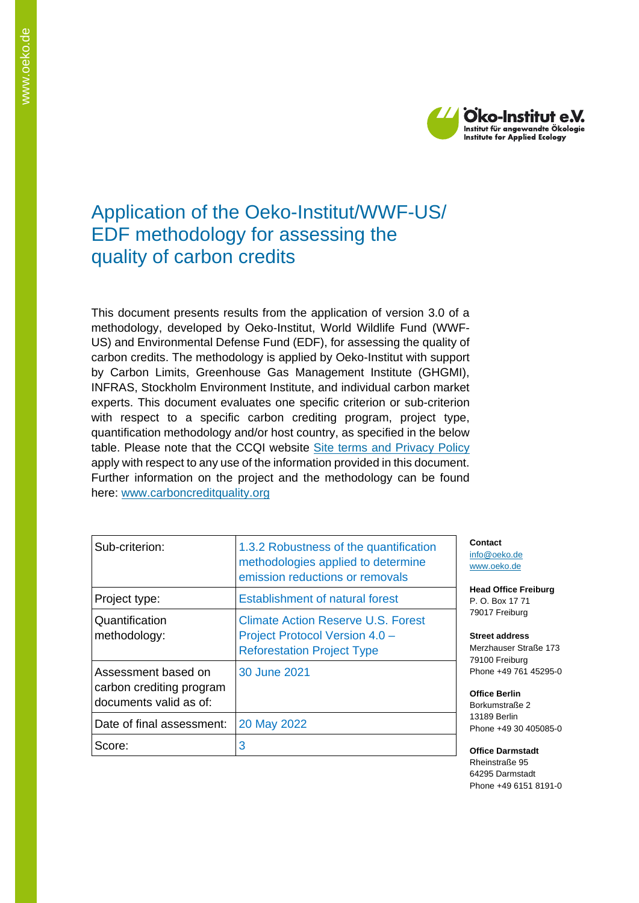

## Application of the Oeko-Institut/WWF-US/ EDF methodology for assessing the quality of carbon credits

This document presents results from the application of version 3.0 of a methodology, developed by Oeko-Institut, World Wildlife Fund (WWF-US) and Environmental Defense Fund (EDF), for assessing the quality of carbon credits. The methodology is applied by Oeko-Institut with support by Carbon Limits, Greenhouse Gas Management Institute (GHGMI), INFRAS, Stockholm Environment Institute, and individual carbon market experts. This document evaluates one specific criterion or sub-criterion with respect to a specific carbon crediting program, project type, quantification methodology and/or host country, as specified in the below table. Please note that the CCQI website [Site terms and Privacy Policy](https://carboncreditquality.org/terms.html) apply with respect to any use of the information provided in this document. Further information on the project and the methodology can be found here: [www.carboncreditquality.org](http://www.carboncreditquality.org/)

| Sub-criterion:                                                            | 1.3.2 Robustness of the quantification<br>methodologies applied to determine<br>emission reductions or removals  |
|---------------------------------------------------------------------------|------------------------------------------------------------------------------------------------------------------|
| Project type:                                                             | <b>Establishment of natural forest</b>                                                                           |
| Quantification<br>methodology:                                            | <b>Climate Action Reserve U.S. Forest</b><br>Project Protocol Version 4.0 -<br><b>Reforestation Project Type</b> |
| Assessment based on<br>carbon crediting program<br>documents valid as of: | 30 June 2021                                                                                                     |
| Date of final assessment:                                                 | 20 May 2022                                                                                                      |
| Score:                                                                    | 3                                                                                                                |

**Contact** [info@oeko.de](mailto:info@oeko.de) [www.oeko.de](http://www.oeko.de/)

**Head Office Freiburg** P. O. Box 17 71 79017 Freiburg

**Street address** Merzhauser Straße 173 79100 Freiburg Phone +49 761 45295-0

**Office Berlin** Borkumstraße 2 13189 Berlin Phone +49 30 405085-0

**Office Darmstadt** Rheinstraße 95 64295 Darmstadt Phone +49 6151 8191-0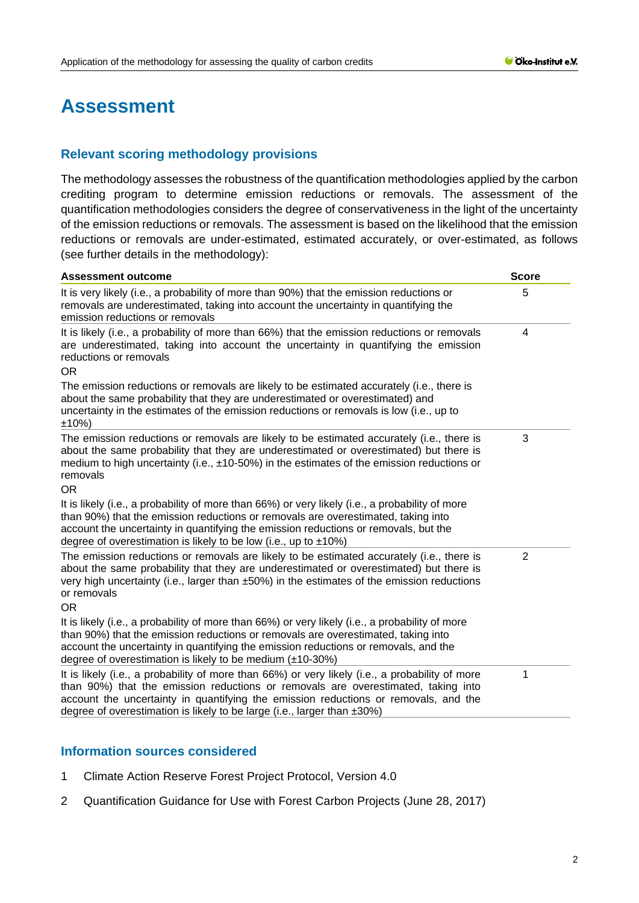# **Assessment**

## **Relevant scoring methodology provisions**

The methodology assesses the robustness of the quantification methodologies applied by the carbon crediting program to determine emission reductions or removals. The assessment of the quantification methodologies considers the degree of conservativeness in the light of the uncertainty of the emission reductions or removals. The assessment is based on the likelihood that the emission reductions or removals are under-estimated, estimated accurately, or over-estimated, as follows (see further details in the methodology):

| <b>Assessment outcome</b>                                                                                                                                                                                                                                                                                                                                     | <b>Score</b>   |
|---------------------------------------------------------------------------------------------------------------------------------------------------------------------------------------------------------------------------------------------------------------------------------------------------------------------------------------------------------------|----------------|
| It is very likely (i.e., a probability of more than 90%) that the emission reductions or<br>removals are underestimated, taking into account the uncertainty in quantifying the<br>emission reductions or removals                                                                                                                                            | 5              |
| It is likely (i.e., a probability of more than 66%) that the emission reductions or removals<br>are underestimated, taking into account the uncertainty in quantifying the emission<br>reductions or removals<br><b>OR</b>                                                                                                                                    | 4              |
| The emission reductions or removals are likely to be estimated accurately (i.e., there is<br>about the same probability that they are underestimated or overestimated) and<br>uncertainty in the estimates of the emission reductions or removals is low (i.e., up to<br>$±10\%)$                                                                             |                |
| The emission reductions or removals are likely to be estimated accurately (i.e., there is<br>about the same probability that they are underestimated or overestimated) but there is<br>medium to high uncertainty (i.e., $\pm$ 10-50%) in the estimates of the emission reductions or<br>removals<br><b>OR</b>                                                | 3              |
| It is likely (i.e., a probability of more than 66%) or very likely (i.e., a probability of more<br>than 90%) that the emission reductions or removals are overestimated, taking into<br>account the uncertainty in quantifying the emission reductions or removals, but the<br>degree of overestimation is likely to be low (i.e., up to $\pm 10\%$ )         |                |
| The emission reductions or removals are likely to be estimated accurately (i.e., there is<br>about the same probability that they are underestimated or overestimated) but there is<br>very high uncertainty (i.e., larger than ±50%) in the estimates of the emission reductions<br>or removals<br>OR.                                                       | $\overline{2}$ |
| It is likely (i.e., a probability of more than 66%) or very likely (i.e., a probability of more<br>than 90%) that the emission reductions or removals are overestimated, taking into<br>account the uncertainty in quantifying the emission reductions or removals, and the<br>degree of overestimation is likely to be medium $(\pm 10-30\%)$                |                |
| It is likely (i.e., a probability of more than 66%) or very likely (i.e., a probability of more<br>than 90%) that the emission reductions or removals are overestimated, taking into<br>account the uncertainty in quantifying the emission reductions or removals, and the<br>degree of overestimation is likely to be large (i.e., larger than $\pm 30\%$ ) | 1              |

## **Information sources considered**

- 1 Climate Action Reserve Forest Project Protocol, Version 4.0
- 2 Quantification Guidance for Use with Forest Carbon Projects (June 28, 2017)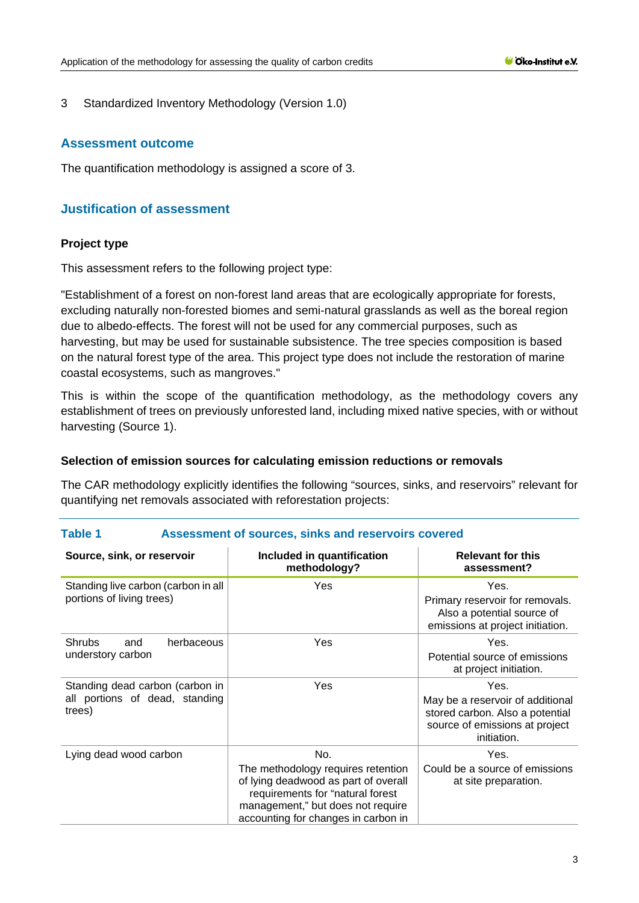#### 3 Standardized Inventory Methodology (Version 1.0)

#### **Assessment outcome**

The quantification methodology is assigned a score of 3.

### **Justification of assessment**

#### **Project type**

This assessment refers to the following project type:

"Establishment of a forest on non-forest land areas that are ecologically appropriate for forests, excluding naturally non-forested biomes and semi-natural grasslands as well as the boreal region due to albedo-effects. The forest will not be used for any commercial purposes, such as harvesting, but may be used for sustainable subsistence. The tree species composition is based on the natural forest type of the area. This project type does not include the restoration of marine coastal ecosystems, such as mangroves."

This is within the scope of the quantification methodology, as the methodology covers any establishment of trees on previously unforested land, including mixed native species, with or without harvesting (Source 1).

#### **Selection of emission sources for calculating emission reductions or removals**

The CAR methodology explicitly identifies the following "sources, sinks, and reservoirs" relevant for quantifying net removals associated with reforestation projects:

| <b>Table 1</b><br>Assessment of sources, sinks and reservoirs covered       |                                                                                                                                                                                                   |                                                                                                                              |  |
|-----------------------------------------------------------------------------|---------------------------------------------------------------------------------------------------------------------------------------------------------------------------------------------------|------------------------------------------------------------------------------------------------------------------------------|--|
| Source, sink, or reservoir                                                  | Included in quantification<br>methodology?                                                                                                                                                        | <b>Relevant for this</b><br>assessment?                                                                                      |  |
| Standing live carbon (carbon in all<br>portions of living trees)            | Yes                                                                                                                                                                                               | Yes.<br>Primary reservoir for removals.<br>Also a potential source of<br>emissions at project initiation.                    |  |
| <b>Shrubs</b><br>herbaceous<br>and<br>understory carbon                     | Yes                                                                                                                                                                                               | Yes.<br>Potential source of emissions<br>at project initiation.                                                              |  |
| Standing dead carbon (carbon in<br>all portions of dead, standing<br>trees) | Yes                                                                                                                                                                                               | Yes.<br>May be a reservoir of additional<br>stored carbon. Also a potential<br>source of emissions at project<br>initiation. |  |
| Lying dead wood carbon                                                      | No.<br>The methodology requires retention<br>of lying deadwood as part of overall<br>requirements for "natural forest<br>management," but does not require<br>accounting for changes in carbon in | Yes.<br>Could be a source of emissions<br>at site preparation.                                                               |  |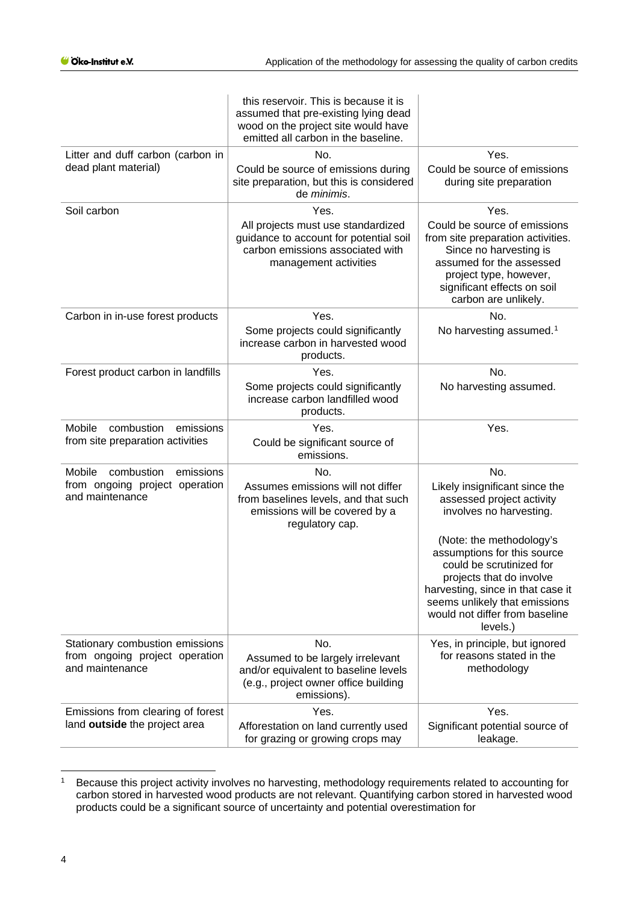|                                                                       | this reservoir. This is because it is<br>assumed that pre-existing lying dead<br>wood on the project site would have<br>emitted all carbon in the baseline. |                                                                                                                                                                                                                                     |
|-----------------------------------------------------------------------|-------------------------------------------------------------------------------------------------------------------------------------------------------------|-------------------------------------------------------------------------------------------------------------------------------------------------------------------------------------------------------------------------------------|
| Litter and duff carbon (carbon in                                     | No.                                                                                                                                                         | Yes.                                                                                                                                                                                                                                |
| dead plant material)                                                  | Could be source of emissions during<br>site preparation, but this is considered<br>de minimis.                                                              | Could be source of emissions<br>during site preparation                                                                                                                                                                             |
| Soil carbon                                                           | Yes.                                                                                                                                                        | Yes.                                                                                                                                                                                                                                |
|                                                                       | All projects must use standardized<br>guidance to account for potential soil<br>carbon emissions associated with<br>management activities                   | Could be source of emissions<br>from site preparation activities.<br>Since no harvesting is<br>assumed for the assessed<br>project type, however,<br>significant effects on soil<br>carbon are unlikely.                            |
| Carbon in in-use forest products                                      | Yes.<br>Some projects could significantly                                                                                                                   | No.<br>No harvesting assumed. <sup>1</sup>                                                                                                                                                                                          |
|                                                                       | increase carbon in harvested wood<br>products.                                                                                                              |                                                                                                                                                                                                                                     |
| Forest product carbon in landfills                                    | Yes.                                                                                                                                                        | No.                                                                                                                                                                                                                                 |
|                                                                       | Some projects could significantly<br>increase carbon landfilled wood<br>products.                                                                           | No harvesting assumed.                                                                                                                                                                                                              |
| Mobile<br>combustion<br>emissions<br>from site preparation activities | Yes.<br>Could be significant source of<br>emissions.                                                                                                        | Yes.                                                                                                                                                                                                                                |
| combustion<br>Mobile<br>emissions                                     | No.                                                                                                                                                         | No.                                                                                                                                                                                                                                 |
| from ongoing project operation<br>and maintenance                     | Assumes emissions will not differ<br>from baselines levels, and that such<br>emissions will be covered by a<br>regulatory cap.                              | Likely insignificant since the<br>assessed project activity<br>involves no harvesting.                                                                                                                                              |
|                                                                       |                                                                                                                                                             | (Note: the methodology's<br>assumptions for this source<br>could be scrutinized for<br>projects that do involve<br>harvesting, since in that case it<br>seems unlikely that emissions<br>would not differ from baseline<br>levels.) |
| Stationary combustion emissions                                       | No.                                                                                                                                                         | Yes, in principle, but ignored                                                                                                                                                                                                      |
| from ongoing project operation<br>and maintenance                     | Assumed to be largely irrelevant<br>and/or equivalent to baseline levels<br>(e.g., project owner office building<br>emissions).                             | for reasons stated in the<br>methodology                                                                                                                                                                                            |
| Emissions from clearing of forest                                     | Yes.                                                                                                                                                        | Yes.                                                                                                                                                                                                                                |
| land outside the project area                                         | Afforestation on land currently used<br>for grazing or growing crops may                                                                                    | Significant potential source of<br>leakage.                                                                                                                                                                                         |

<span id="page-3-0"></span><sup>&</sup>lt;sup>1</sup> Because this project activity involves no harvesting, methodology requirements related to accounting for carbon stored in harvested wood products are not relevant. Quantifying carbon stored in harvested wood products could be a significant source of uncertainty and potential overestimation for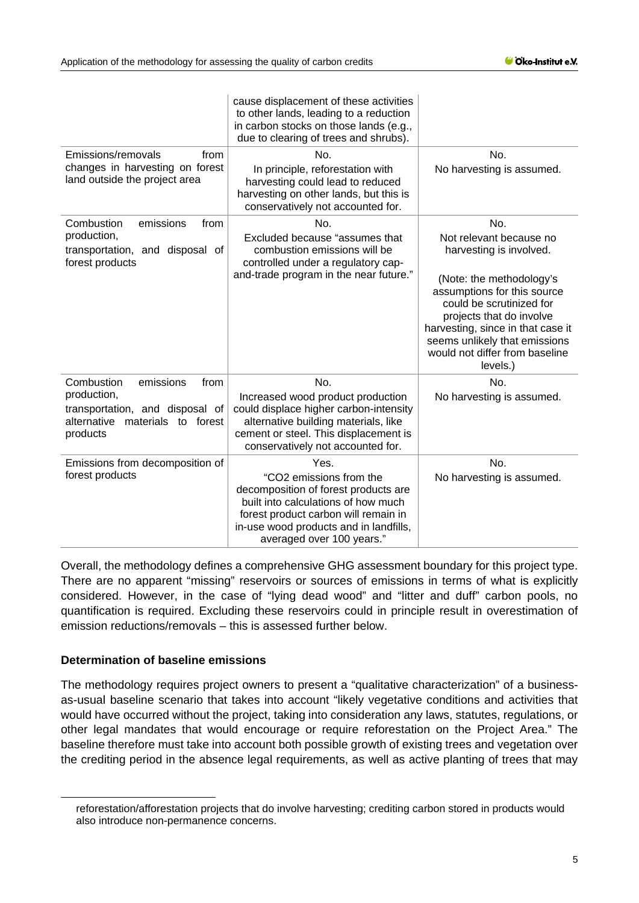|                                                                                                                                  | cause displacement of these activities<br>to other lands, leading to a reduction<br>in carbon stocks on those lands (e.g.,<br>due to clearing of trees and shrubs).                                                           |                                                                                                                                                                                                                                                                                                  |
|----------------------------------------------------------------------------------------------------------------------------------|-------------------------------------------------------------------------------------------------------------------------------------------------------------------------------------------------------------------------------|--------------------------------------------------------------------------------------------------------------------------------------------------------------------------------------------------------------------------------------------------------------------------------------------------|
| Emissions/removals<br>from<br>changes in harvesting on forest<br>land outside the project area                                   | No.<br>In principle, reforestation with<br>harvesting could lead to reduced<br>harvesting on other lands, but this is<br>conservatively not accounted for.                                                                    | No.<br>No harvesting is assumed.                                                                                                                                                                                                                                                                 |
| Combustion<br>emissions<br>from<br>production,<br>transportation, and disposal of<br>forest products                             | No.<br>Excluded because "assumes that<br>combustion emissions will be<br>controlled under a regulatory cap-<br>and-trade program in the near future."                                                                         | No.<br>Not relevant because no<br>harvesting is involved.<br>(Note: the methodology's<br>assumptions for this source<br>could be scrutinized for<br>projects that do involve<br>harvesting, since in that case it<br>seems unlikely that emissions<br>would not differ from baseline<br>levels.) |
| Combustion<br>emissions<br>from<br>production,<br>transportation, and disposal of<br>alternative materials to forest<br>products | No.<br>Increased wood product production<br>could displace higher carbon-intensity<br>alternative building materials, like<br>cement or steel. This displacement is<br>conservatively not accounted for.                      | No.<br>No harvesting is assumed.                                                                                                                                                                                                                                                                 |
| Emissions from decomposition of<br>forest products                                                                               | Yes.<br>"CO2 emissions from the<br>decomposition of forest products are<br>built into calculations of how much<br>forest product carbon will remain in<br>in-use wood products and in landfills,<br>averaged over 100 years." | No.<br>No harvesting is assumed.                                                                                                                                                                                                                                                                 |

Overall, the methodology defines a comprehensive GHG assessment boundary for this project type. There are no apparent "missing" reservoirs or sources of emissions in terms of what is explicitly considered. However, in the case of "lying dead wood" and "litter and duff" carbon pools, no quantification is required. Excluding these reservoirs could in principle result in overestimation of emission reductions/removals – this is assessed further below.

#### **Determination of baseline emissions**

The methodology requires project owners to present a "qualitative characterization" of a businessas-usual baseline scenario that takes into account "likely vegetative conditions and activities that would have occurred without the project, taking into consideration any laws, statutes, regulations, or other legal mandates that would encourage or require reforestation on the Project Area." The baseline therefore must take into account both possible growth of existing trees and vegetation over the crediting period in the absence legal requirements, as well as active planting of trees that may

reforestation/afforestation projects that do involve harvesting; crediting carbon stored in products would also introduce non-permanence concerns.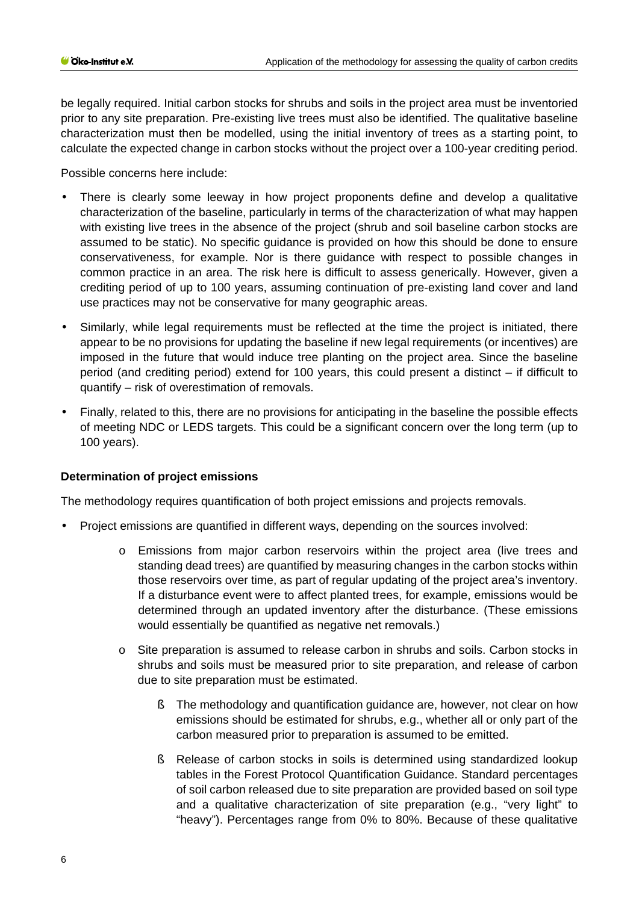be legally required. Initial carbon stocks for shrubs and soils in the project area must be inventoried prior to any site preparation. Pre-existing live trees must also be identified. The qualitative baseline characterization must then be modelled, using the initial inventory of trees as a starting point, to calculate the expected change in carbon stocks without the project over a 100-year crediting period.

Possible concerns here include:

- There is clearly some leeway in how project proponents define and develop a qualitative characterization of the baseline, particularly in terms of the characterization of what may happen with existing live trees in the absence of the project (shrub and soil baseline carbon stocks are assumed to be static). No specific guidance is provided on how this should be done to ensure conservativeness, for example. Nor is there guidance with respect to possible changes in common practice in an area. The risk here is difficult to assess generically. However, given a crediting period of up to 100 years, assuming continuation of pre-existing land cover and land use practices may not be conservative for many geographic areas.
- Similarly, while legal requirements must be reflected at the time the project is initiated, there appear to be no provisions for updating the baseline if new legal requirements (or incentives) are imposed in the future that would induce tree planting on the project area. Since the baseline period (and crediting period) extend for 100 years, this could present a distinct – if difficult to quantify – risk of overestimation of removals.
- Finally, related to this, there are no provisions for anticipating in the baseline the possible effects of meeting NDC or LEDS targets. This could be a significant concern over the long term (up to 100 years).

#### **Determination of project emissions**

The methodology requires quantification of both project emissions and projects removals.

- Project emissions are quantified in different ways, depending on the sources involved:
	- o Emissions from major carbon reservoirs within the project area (live trees and standing dead trees) are quantified by measuring changes in the carbon stocks within those reservoirs over time, as part of regular updating of the project area's inventory. If a disturbance event were to affect planted trees, for example, emissions would be determined through an updated inventory after the disturbance. (These emissions would essentially be quantified as negative net removals.)
	- o Site preparation is assumed to release carbon in shrubs and soils. Carbon stocks in shrubs and soils must be measured prior to site preparation, and release of carbon due to site preparation must be estimated.
		- **§** The methodology and quantification guidance are, however, not clear on how emissions should be estimated for shrubs, e.g., whether all or only part of the carbon measured prior to preparation is assumed to be emitted.
		- § Release of carbon stocks in soils is determined using standardized lookup tables in the Forest Protocol Quantification Guidance. Standard percentages of soil carbon released due to site preparation are provided based on soil type and a qualitative characterization of site preparation (e.g., "very light" to "heavy"). Percentages range from 0% to 80%. Because of these qualitative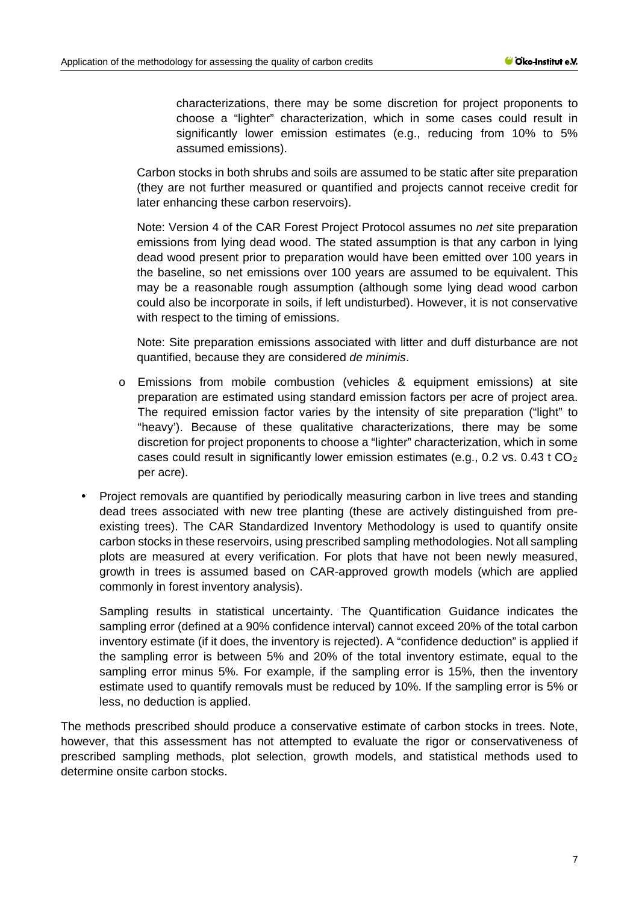characterizations, there may be some discretion for project proponents to choose a "lighter" characterization, which in some cases could result in significantly lower emission estimates (e.g., reducing from 10% to 5% assumed emissions).

Carbon stocks in both shrubs and soils are assumed to be static after site preparation (they are not further measured or quantified and projects cannot receive credit for later enhancing these carbon reservoirs).

Note: Version 4 of the CAR Forest Project Protocol assumes no *net* site preparation emissions from lying dead wood. The stated assumption is that any carbon in lying dead wood present prior to preparation would have been emitted over 100 years in the baseline, so net emissions over 100 years are assumed to be equivalent. This may be a reasonable rough assumption (although some lying dead wood carbon could also be incorporate in soils, if left undisturbed). However, it is not conservative with respect to the timing of emissions.

Note: Site preparation emissions associated with litter and duff disturbance are not quantified, because they are considered *de minimis*.

- o Emissions from mobile combustion (vehicles & equipment emissions) at site preparation are estimated using standard emission factors per acre of project area. The required emission factor varies by the intensity of site preparation ("light" to "heavy'). Because of these qualitative characterizations, there may be some discretion for project proponents to choose a "lighter" characterization, which in some cases could result in significantly lower emission estimates (e.g., 0.2 vs. 0.43 t  $CO<sub>2</sub>$ ) per acre).
- Project removals are quantified by periodically measuring carbon in live trees and standing dead trees associated with new tree planting (these are actively distinguished from preexisting trees). The CAR Standardized Inventory Methodology is used to quantify onsite carbon stocks in these reservoirs, using prescribed sampling methodologies. Not all sampling plots are measured at every verification. For plots that have not been newly measured, growth in trees is assumed based on CAR-approved growth models (which are applied commonly in forest inventory analysis).

Sampling results in statistical uncertainty. The Quantification Guidance indicates the sampling error (defined at a 90% confidence interval) cannot exceed 20% of the total carbon inventory estimate (if it does, the inventory is rejected). A "confidence deduction" is applied if the sampling error is between 5% and 20% of the total inventory estimate, equal to the sampling error minus 5%. For example, if the sampling error is 15%, then the inventory estimate used to quantify removals must be reduced by 10%. If the sampling error is 5% or less, no deduction is applied.

The methods prescribed should produce a conservative estimate of carbon stocks in trees. Note, however, that this assessment has not attempted to evaluate the rigor or conservativeness of prescribed sampling methods, plot selection, growth models, and statistical methods used to determine onsite carbon stocks.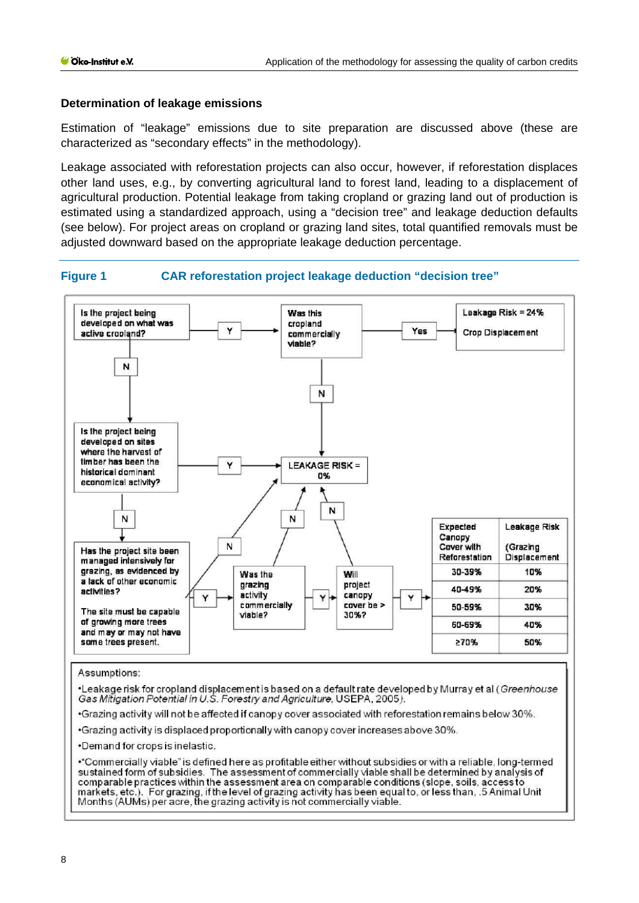#### **Determination of leakage emissions**

Estimation of "leakage" emissions due to site preparation are discussed above (these are characterized as "secondary effects" in the methodology).

Leakage associated with reforestation projects can also occur, however, if reforestation displaces other land uses, e.g., by converting agricultural land to forest land, leading to a displacement of agricultural production. Potential leakage from taking cropland or grazing land out of production is estimated using a standardized approach, using a "decision tree" and leakage deduction defaults (see below). For project areas on cropland or grazing land sites, total quantified removals must be adjusted downward based on the appropriate leakage deduction percentage.





•Leakage risk for cropland displacement is based on a default rate developed by Murray et al (Greenhouse Gas Mitigation Potential in U.S. Forestry and Agriculture, USEPA, 2005).

•Grazing activity will not be affected if canopy cover associated with reforestation remains below 30%.

•Grazing activity is displaced proportionally with canopy cover increases above 30%.

•Demand for crops is inelastic.

• "Commercially viable" is defined here as profitable either without subsidies or with a reliable, long-termed sustained form of subsidies. The assessment of commercially viable shall be determined by analysis of comparable practices within the assessment area on comparable conditions (slope, soils, access to example produces within the assessment area on comparable conditions (slope, solis, accessive<br>markets, etc.). For grazing, if the level of grazing activity has been equal to, or less than, .5 Animal Unit<br>Months (AUMs) per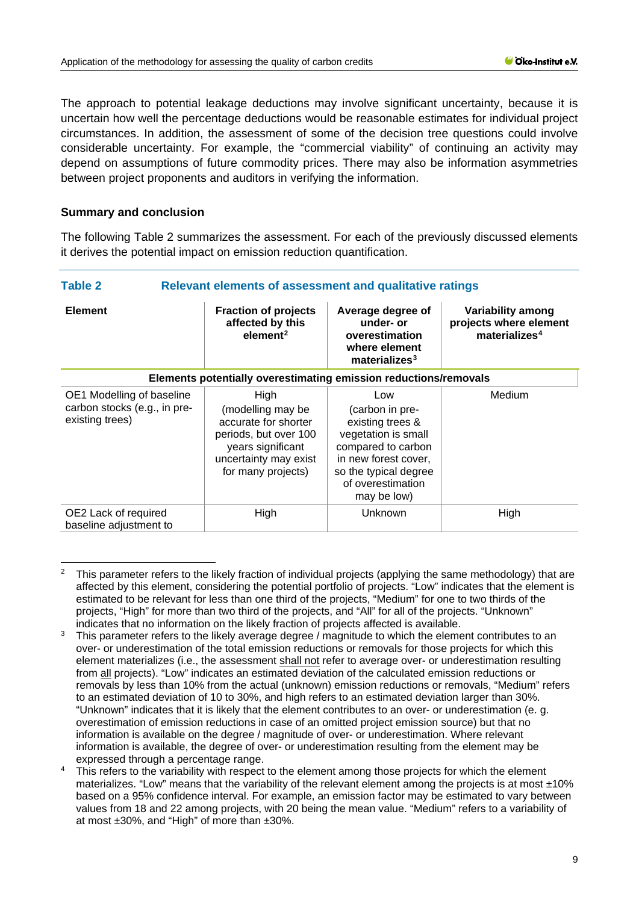The approach to potential leakage deductions may involve significant uncertainty, because it is uncertain how well the percentage deductions would be reasonable estimates for individual project circumstances. In addition, the assessment of some of the decision tree questions could involve considerable uncertainty. For example, the "commercial viability" of continuing an activity may depend on assumptions of future commodity prices. There may also be information asymmetries between project proponents and auditors in verifying the information.

#### **Summary and conclusion**

The following Table 2 summarizes the assessment. For each of the previously discussed elements it derives the potential impact on emission reduction quantification.

| <b>Table 2</b><br>Relevant elements of assessment and qualitative ratings    |                                                                                                                                                |                                                                                                                                                                              |                                                                                 |
|------------------------------------------------------------------------------|------------------------------------------------------------------------------------------------------------------------------------------------|------------------------------------------------------------------------------------------------------------------------------------------------------------------------------|---------------------------------------------------------------------------------|
| <b>Element</b>                                                               | <b>Fraction of projects</b><br>affected by this<br>element <sup>2</sup>                                                                        | Average degree of<br>under- or<br>overestimation<br>where element<br>materializes $3$                                                                                        | <b>Variability among</b><br>projects where element<br>materializes <sup>4</sup> |
| Elements potentially overestimating emission reductions/removals             |                                                                                                                                                |                                                                                                                                                                              |                                                                                 |
| OE1 Modelling of baseline<br>carbon stocks (e.g., in pre-<br>existing trees) | High<br>(modelling may be<br>accurate for shorter<br>periods, but over 100<br>years significant<br>uncertainty may exist<br>for many projects) | Low<br>(carbon in pre-<br>existing trees &<br>vegetation is small<br>compared to carbon<br>in new forest cover,<br>so the typical degree<br>of overestimation<br>may be low) | Medium                                                                          |
| OE2 Lack of required<br>baseline adjustment to                               | High                                                                                                                                           | Unknown                                                                                                                                                                      | High                                                                            |

<span id="page-8-0"></span><sup>2</sup> This parameter refers to the likely fraction of individual projects (applying the same methodology) that are affected by this element, considering the potential portfolio of projects. "Low" indicates that the element is estimated to be relevant for less than one third of the projects, "Medium" for one to two thirds of the projects, "High" for more than two third of the projects, and "All" for all of the projects. "Unknown" indicates that no information on the likely fraction of projects affected is available.

<span id="page-8-1"></span>This parameter refers to the likely average degree / magnitude to which the element contributes to an over- or underestimation of the total emission reductions or removals for those projects for which this element materializes (i.e., the assessment shall not refer to average over- or underestimation resulting from all projects). "Low" indicates an estimated deviation of the calculated emission reductions or removals by less than 10% from the actual (unknown) emission reductions or removals, "Medium" refers to an estimated deviation of 10 to 30%, and high refers to an estimated deviation larger than 30%. "Unknown" indicates that it is likely that the element contributes to an over- or underestimation (e. g. overestimation of emission reductions in case of an omitted project emission source) but that no information is available on the degree / magnitude of over- or underestimation. Where relevant information is available, the degree of over- or underestimation resulting from the element may be expressed through a percentage range.

<span id="page-8-2"></span>This refers to the variability with respect to the element among those projects for which the element materializes. "Low" means that the variability of the relevant element among the projects is at most  $\pm 10\%$ based on a 95% confidence interval. For example, an emission factor may be estimated to vary between values from 18 and 22 among projects, with 20 being the mean value. "Medium" refers to a variability of at most ±30%, and "High" of more than ±30%.